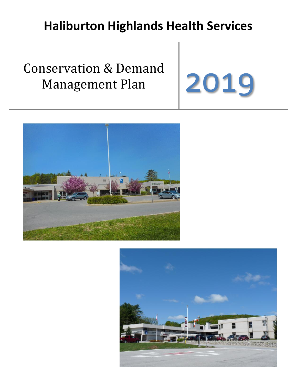# **Haliburton Highlands Health Services**

# Conservation & Demand Management Plan 2019





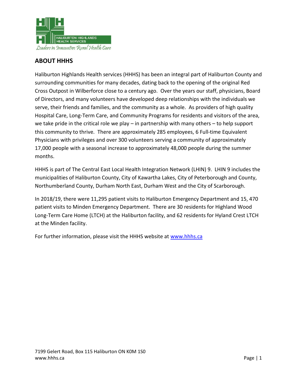

# **ABOUT HHHS**

Haliburton Highlands Health services (HHHS) has been an integral part of Haliburton County and surrounding communities for many decades, dating back to the opening of the original Red Cross Outpost in Wilberforce close to a century ago. Over the years our staff, physicians, Board of Directors, and many volunteers have developed deep relationships with the individuals we serve, their friends and families, and the community as a whole. As providers of high quality Hospital Care, Long-Term Care, and Community Programs for residents and visitors of the area, we take pride in the critical role we play – in partnership with many others – to help support this community to thrive. There are approximately 285 employees, 6 Full-time Equivalent Physicians with privileges and over 300 volunteers serving a community of approximately 17,000 people with a seasonal increase to approximately 48,000 people during the summer months.

HHHS is part of The Central East Local Health Integration Network (LHIN) 9. LHIN 9 includes the municipalities of Haliburton County, City of Kawartha Lakes, City of Peterborough and County, Northumberland County, Durham North East, Durham West and the City of Scarborough.

In 2018/19, there were 11,295 patient visits to Haliburton Emergency Department and 15, 470 patient visits to Minden Emergency Department. There are 30 residents for Highland Wood Long-Term Care Home (LTCH) at the Haliburton facility, and 62 residents for Hyland Crest LTCH at the Minden facility.

For further information, please visit the HHHS website at [www.hhhs.ca](http://www.hhhs.ca/)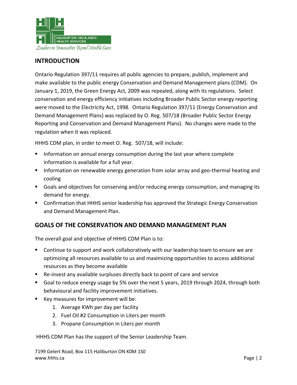

# **INTRODUCTION**

Ontario Regulation 397/11 requires all public agencies to prepare, publish, implement and make available to the public energy Conservation and Demand Management plans (CDM). On January 1, 2019, the Green Energy Act, 2009 was repealed, along with its regulations. Select conservation and energy efficiency initiatives including Broader Public Sector energy reporting were moved to the Electricity Act, 1998. Ontario Regulation 397/11 (Energy Conservation and Demand Management Plans) was replaced by O. Reg. 507/18 (Broader Public Sector Energy Reporting and Conservation and Demand Management Plans). No changes were made to the regulation when it was replaced.

HHHS CDM plan, in order to meet O. Reg. 507/18, will include:

- **Information on annual energy consumption during the last year where complete** information is available for a full year.
- **Information on renewable energy generation from solar array and geo-thermal heating and** cooling
- Goals and objectives for conserving and/or reducing energy consumption, and managing its demand for energy.
- **Confirmation that HHHS senior leadership has approved the Strategic Energy Conservation** and Demand Management Plan.

# **GOALS OF THE CONSERVATION AND DEMAND MANAGEMENT PLAN**

The overall goal and objective of HHHS CDM Plan is to:

- **Continue to support and work collaboratively with our leadership team to ensure we are** optimizing all resources available to us and maximizing opportunities to access additional resources as they become available
- Re-invest any available surpluses directly back to point of care and service
- Goal to reduce energy usage by 5% over the next 5 years, 2019 through 2024, through both behavioural and facility improvement initiatives.
- Key measures for improvement will be:
	- 1. Average KWh per day per facility
	- 2. Fuel Oil #2 Consumption in Liters per month
	- 3. Propane Consumption in Liters per month

HHHS CDM Plan has the support of the Senior Leadership Team.

7199 Gelert Road, Box 115 Haliburton ON K0M 1S0 [www.hhhs.ca](http://www.hhhs.ca/) Page | 2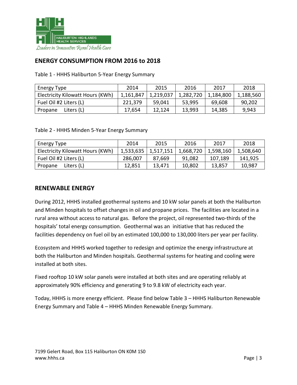

# **ENERGY CONSUMPTION FROM 2016 to 2018**

Table 1 - HHHS Haliburton 5-Year Energy Summary

| Energy Type                      | 2014      | 2015      | 2016      | 2017      | 2018      |
|----------------------------------|-----------|-----------|-----------|-----------|-----------|
| Electricity Kilowatt Hours (KWh) | 1,161,847 | 1,219,037 | 1,282,720 | 1,184,800 | 1,188,560 |
| Fuel Oil #2 Liters (L)           | 221,379   | 59,041    | 53,995    | 69,608    | 90,202    |
| Liters (L)<br>Propane            | 17,654    | 12,124    | 13,993    | 14,385    | 9,943     |

Table 2 - HHHS Minden 5-Year Energy Summary

| Energy Type                      | 2014      | 2015      | 2016      | 2017      | 2018      |
|----------------------------------|-----------|-----------|-----------|-----------|-----------|
| Electricity Kilowatt Hours (KWh) | 1,533,635 | 1,517,151 | 1,668,720 | 1,598,160 | 1,508,640 |
| Fuel Oil #2 Liters (L)           | 286,007   | 87,669    | 91,082    | 107,189   | 141,925   |
| Liters (L)<br>Propane            | 12,851    | 13,471    | 10,802    | 13,857    | 10,987    |

#### **RENEWABLE ENERGY**

During 2012, HHHS installed geothermal systems and 10 kW solar panels at both the Haliburton and Minden hospitals to offset changes in oil and propane prices. The facilities are located in a rural area without access to natural gas. Before the project, oil represented two-thirds of the hospitals' total energy consumption. Geothermal was an initiative that has reduced the facilities dependency on fuel oil by an estimated 100,000 to 130,000 liters per year per facility.

Ecosystem and HHHS worked together to redesign and optimize the energy infrastructure at both the Haliburton and Minden hospitals. Geothermal systems for heating and cooling were installed at both sites.

Fixed rooftop 10 kW solar panels were installed at both sites and are operating reliably at approximately 90% efficiency and generating 9 to 9.8 kW of electricity each year.

Today, HHHS is more energy efficient. Please find below Table 3 – HHHS Haliburton Renewable Energy Summary and Table 4 – HHHS Minden Renewable Energy Summary.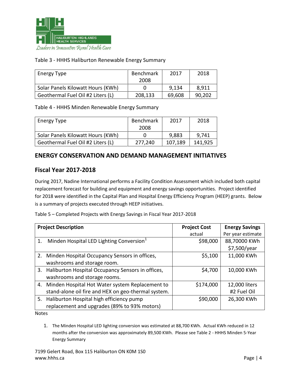

#### Table 3 - HHHS Haliburton Renewable Energy Summary

| Energy Type                       | <b>Benchmark</b> | 2017   | 2018   |
|-----------------------------------|------------------|--------|--------|
|                                   | 2008             |        |        |
| Solar Panels Kilowatt Hours (KWh) |                  | 9,134  | 8.911  |
| Geothermal Fuel Oil #2 Liters (L) | 208,133          | 69,608 | 90,202 |

Table 4 - HHHS Minden Renewable Energy Summary

| Energy Type                       | <b>Benchmark</b> | 2017    | 2018    |
|-----------------------------------|------------------|---------|---------|
|                                   | 2008             |         |         |
| Solar Panels Kilowatt Hours (KWh) |                  | 9,883   | 9.741   |
| Geothermal Fuel Oil #2 Liters (L) | 277,240          | 107.189 | 141.925 |

#### **ENERGY CONSERVATION AND DEMAND MANAGEMENT INITIATIVES**

#### **Fiscal Year 2017-2018**

During 2017, Nadine International performs a Facility Condition Assessment which included both capital replacement forecast for building and equipment and energy savings opportunities. Project identified for 2018 were identified in the Capital Plan and Hospital Energy Efficiency Program (HEEP) grants. Below is a summary of projects executed through HEEP initiatives.

Table 5 – Completed Projects with Energy Savings in Fiscal Year 2017-2018

| <b>Project Description</b> |                                                      | <b>Project Cost</b> | <b>Energy Savings</b> |  |
|----------------------------|------------------------------------------------------|---------------------|-----------------------|--|
|                            |                                                      | actual              | Per year estimate     |  |
| 1.                         | Minden Hospital LED Lighting Conversion <sup>1</sup> | \$98,000            | 88,70000 KWh          |  |
|                            |                                                      |                     | \$7,500/year          |  |
|                            | 2. Minden Hospital Occupancy Sensors in offices,     | \$5,100             | 11,000 KWh            |  |
|                            | washrooms and storage room.                          |                     |                       |  |
|                            | 3. Haliburton Hospital Occupancy Sensors in offices, | \$4,700             | 10,000 KWh            |  |
|                            | washrooms and storage rooms.                         |                     |                       |  |
|                            | 4. Minden Hospital Hot Water system Replacement to   | \$174,000           | 12,000 liters         |  |
|                            | stand-alone oil fire and HEX on geo-thermal system.  |                     | #2 Fuel Oil           |  |
|                            | 5. Haliburton Hospital high efficiency pump          | \$90,000            | 26,300 KWh            |  |
|                            | replacement and upgrades (89% to 93% motors)         |                     |                       |  |

Notes

1. The Minden Hospital LED lighting conversion was estimated at 88,700 KWh. Actual KWh reduced in 12 months after the conversion was approximately 89,500 KWh. Please see Table 2 - HHHS Minden 5-Year Energy Summary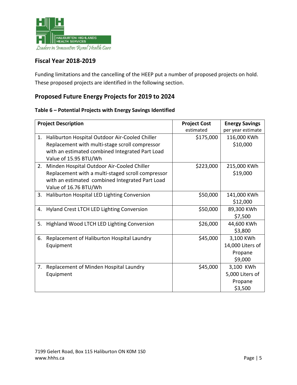

# **Fiscal Year 2018-2019**

Funding limitations and the cancelling of the HEEP put a number of proposed projects on hold. These proposed projects are identified in the following section.

# **Proposed Future Energy Projects for 2019 to 2024**

#### **Table 6 – Potential Projects with Energy Savings Identified**

| <b>Project Description</b> |                                                   | <b>Project Cost</b> | <b>Energy Savings</b> |
|----------------------------|---------------------------------------------------|---------------------|-----------------------|
|                            |                                                   | estimated           | per year estimate     |
| 1.                         | Haliburton Hospital Outdoor Air-Cooled Chiller    | \$175,000           | 116,000 KWh           |
|                            | Replacement with multi-stage scroll compressor    |                     | \$10,000              |
|                            | with an estimated combined Integrated Part Load   |                     |                       |
|                            | Value of 15.95 BTU/Wh                             |                     |                       |
| 2.                         | Minden Hospital Outdoor Air-Cooled Chiller        | \$223,000           | 215,000 KWh           |
|                            | Replacement with a multi-staged scroll compressor |                     | \$19,000              |
|                            | with an estimated combined Integrated Part Load   |                     |                       |
|                            | Value of 16.76 BTU/Wh                             |                     |                       |
| 3.                         | Haliburton Hospital LED Lighting Conversion       | \$50,000            | 141,000 KWh           |
|                            |                                                   |                     | \$12,000              |
| 4.                         | Hyland Crest LTCH LED Lighting Conversion         | \$50,000            | 89,300 KWh            |
|                            |                                                   |                     | \$7,500               |
| 5.                         | Highland Wood LTCH LED Lighting Conversion        | \$26,000            | 44,600 KWh            |
|                            |                                                   |                     | \$3,800               |
| 6.                         | Replacement of Haliburton Hospital Laundry        | \$45,000            | 3,100 KWh             |
|                            | Equipment                                         |                     | 14,000 Liters of      |
|                            |                                                   |                     | Propane               |
|                            |                                                   |                     | \$9,000               |
| 7.                         | Replacement of Minden Hospital Laundry            | \$45,000            | 3,100 KWh             |
|                            | Equipment                                         |                     | 5,000 Liters of       |
|                            |                                                   |                     | Propane               |
|                            |                                                   |                     | \$3,500               |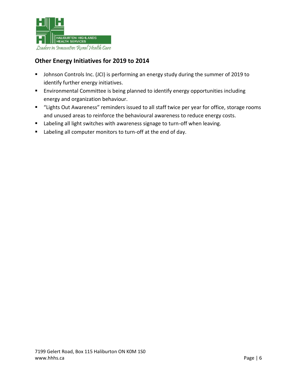

# **Other Energy Initiatives for 2019 to 2014**

- **Johnson Controls Inc. (JCI) is performing an energy study during the summer of 2019 to** identify further energy initiatives.
- **Environmental Committee is being planned to identify energy opportunities including** energy and organization behaviour.
- "Lights Out Awareness" reminders issued to all staff twice per year for office, storage rooms and unused areas to reinforce the behavioural awareness to reduce energy costs.
- **EXECT** Labeling all light switches with awareness signage to turn-off when leaving.
- **EXECT** Labeling all computer monitors to turn-off at the end of day.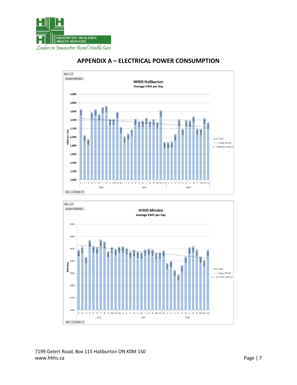



# **APPENDIX A - ELECTRICAL POWER CONSUMPTION**



7199 Gelert Road, Box 115 Haliburton ON KOM 1SO www.hhhs.ca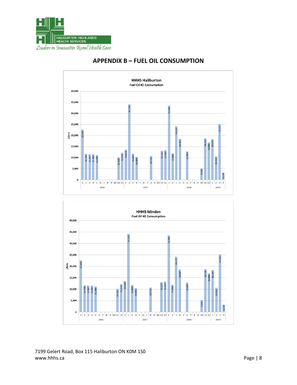



# **APPENDIX B - FUEL OIL CONSUMPTION**



7199 Gelert Road, Box 115 Haliburton ON KOM 1SO www.hhhs.ca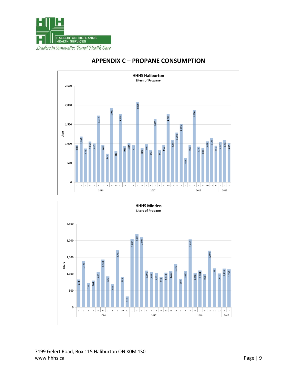



# **APPENDIX C - PROPANE CONSUMPTION**



7199 Gelert Road, Box 115 Haliburton ON KOM 1SO www.hhhs.ca